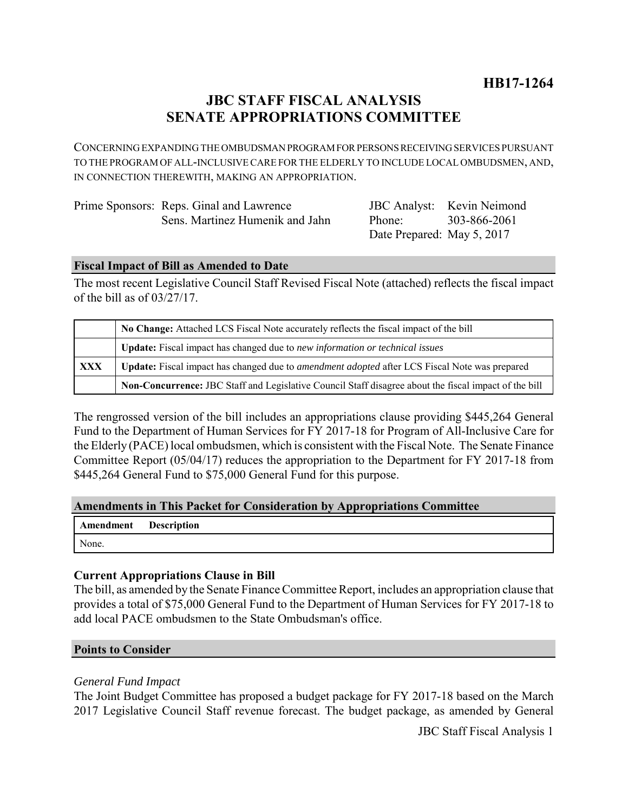# **JBC STAFF FISCAL ANALYSIS SENATE APPROPRIATIONS COMMITTEE**

CONCERNING EXPANDING THE OMBUDSMAN PROGRAM FOR PERSONS RECEIVING SERVICES PURSUANT TO THE PROGRAM OF ALL-INCLUSIVE CARE FOR THE ELDERLY TO INCLUDE LOCAL OMBUDSMEN, AND, IN CONNECTION THEREWITH, MAKING AN APPROPRIATION.

| Prime Sponsors: Reps. Ginal and Lawrence |
|------------------------------------------|
| Sens. Martinez Humenik and Jahn          |

JBC Analyst: Kevin Neimond Phone: Date Prepared: May 5, 2017 303-866-2061

### **Fiscal Impact of Bill as Amended to Date**

The most recent Legislative Council Staff Revised Fiscal Note (attached) reflects the fiscal impact of the bill as of 03/27/17.

|            | No Change: Attached LCS Fiscal Note accurately reflects the fiscal impact of the bill                       |  |
|------------|-------------------------------------------------------------------------------------------------------------|--|
|            | <b>Update:</b> Fiscal impact has changed due to new information or technical issues                         |  |
| <b>XXX</b> | <b>Update:</b> Fiscal impact has changed due to <i>amendment adopted</i> after LCS Fiscal Note was prepared |  |
|            | Non-Concurrence: JBC Staff and Legislative Council Staff disagree about the fiscal impact of the bill       |  |

The rengrossed version of the bill includes an appropriations clause providing \$445,264 General Fund to the Department of Human Services for FY 2017-18 for Program of All-Inclusive Care for the Elderly (PACE) local ombudsmen, which is consistent with the Fiscal Note. The Senate Finance Committee Report (05/04/17) reduces the appropriation to the Department for FY 2017-18 from \$445,264 General Fund to \$75,000 General Fund for this purpose.

## **Amendments in This Packet for Consideration by Appropriations Committee**

| <b>Amendment</b> Description |  |
|------------------------------|--|
| None.                        |  |

## **Current Appropriations Clause in Bill**

The bill, as amended by the Senate Finance Committee Report, includes an appropriation clause that provides a total of \$75,000 General Fund to the Department of Human Services for FY 2017-18 to add local PACE ombudsmen to the State Ombudsman's office.

#### **Points to Consider**

#### *General Fund Impact*

The Joint Budget Committee has proposed a budget package for FY 2017-18 based on the March 2017 Legislative Council Staff revenue forecast. The budget package, as amended by General